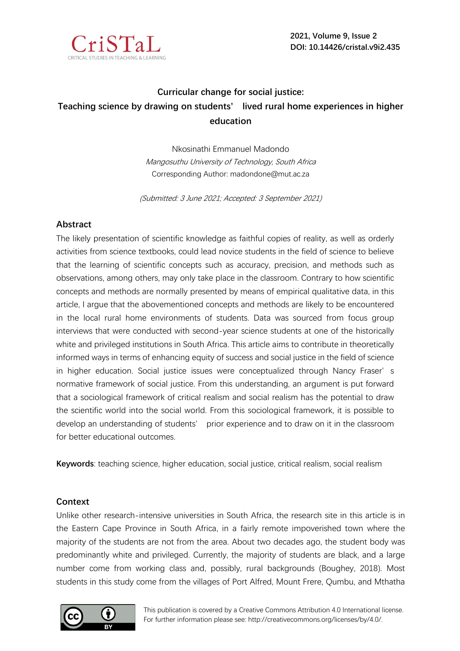

# **Curricular change for social justice: Teaching science by drawing on students' lived rural home experiences in higher education**

Nkosinathi Emmanuel Madondo Mangosuthu University of Technology, South Africa Corresponding Author: madondone@mut.ac.za

(Submitted: 3 June 2021; Accepted: 3 September 2021)

# **Abstract**

The likely presentation of scientific knowledge as faithful copies of reality, as well as orderly activities from science textbooks, could lead novice students in the field of science to believe that the learning of scientific concepts such as accuracy, precision, and methods such as observations, among others, may only take place in the classroom. Contrary to how scientific concepts and methods are normally presented by means of empirical qualitative data, in this article, I argue that the abovementioned concepts and methods are likely to be encountered in the local rural home environments of students. Data was sourced from focus group interviews that were conducted with second-year science students at one of the historically white and privileged institutions in South Africa. This article aims to contribute in theoretically informed ways in terms of enhancing equity of success and social justice in the field of science in higher education. Social justice issues were conceptualized through Nancy Fraser's normative framework of social justice. From this understanding, an argument is put forward that a sociological framework of critical realism and social realism has the potential to draw the scientific world into the social world. From this sociological framework, it is possible to develop an understanding of students' prior experience and to draw on it in the classroom for better educational outcomes.

**Keywords**: teaching science, higher education, social justice, critical realism, social realism

# **Context**

Unlike other research-intensive universities in South Africa, the research site in this article is in the Eastern Cape Province in South Africa, in a fairly remote impoverished town where the majority of the students are not from the area. About two decades ago, the student body was predominantly white and privileged. Currently, the majority of students are black, and a large number come from working class and, possibly, rural backgrounds (Boughey, 2018). Most students in this study come from the villages of Port Alfred, Mount Frere, Qumbu, and Mthatha

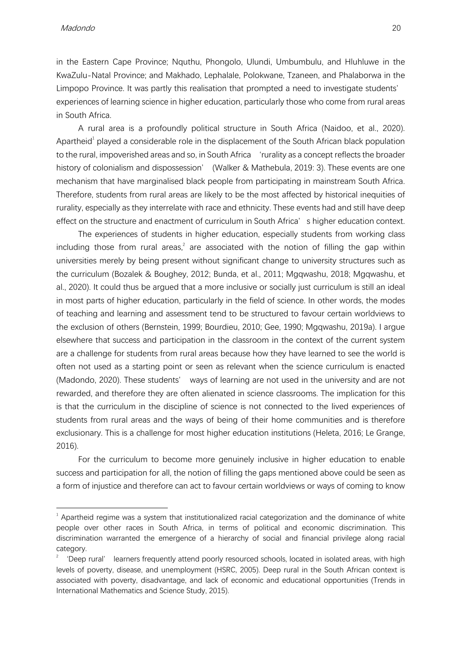in the Eastern Cape Province; Nquthu, Phongolo, Ulundi, Umbumbulu, and Hluhluwe in the KwaZulu-Natal Province; and Makhado, Lephalale, Polokwane, Tzaneen, and Phalaborwa in the Limpopo Province. It was partly this realisation that prompted a need to investigate students' experiences of learning science in higher education, particularly those who come from rural areas in South Africa.

A rural area is a profoundly political structure in South Africa (Naidoo, et al., 2020). Apartheid<sup>1</sup> played a considerable role in the displacement of the South African black population to the rural, impoverished areas and so, in South Africa 'rurality as a concept reflects the broader history of colonialism and dispossession' (Walker & Mathebula, 2019: 3). These events are one mechanism that have marginalised black people from participating in mainstream South Africa. Therefore, students from rural areas are likely to be the most affected by historical inequities of rurality, especially as they interrelate with race and ethnicity. These events had and still have deep effect on the structure and enactment of curriculum in South Africa's higher education context.

The experiences of students in higher education, especially students from working class including those from rural areas,<sup>2</sup> are associated with the notion of filling the gap within universities merely by being present without significant change to university structures such as the curriculum (Bozalek & Boughey, 2012; Bunda, et al., 2011; Mgqwashu, 2018; Mgqwashu, et al., 2020). It could thus be argued that a more inclusive or socially just curriculum is still an ideal in most parts of higher education, particularly in the field of science. In other words, the modes of teaching and learning and assessment tend to be structured to favour certain worldviews to the exclusion of others (Bernstein, 1999; Bourdieu, 2010; Gee, 1990; Mgqwashu, 2019a). I argue elsewhere that success and participation in the classroom in the context of the current system are a challenge for students from rural areas because how they have learned to see the world is often not used as a starting point or seen as relevant when the science curriculum is enacted (Madondo, 2020). These students' ways of learning are not used in the university and are not rewarded, and therefore they are often alienated in science classrooms. The implication for this is that the curriculum in the discipline of science is not connected to the lived experiences of students from rural areas and the ways of being of their home communities and is therefore exclusionary. This is a challenge for most higher education institutions (Heleta, 2016; Le Grange, 2016).

For the curriculum to become more genuinely inclusive in higher education to enable success and participation for all, the notion of filling the gaps mentioned above could be seen as a form of injustice and therefore can act to favour certain worldviews or ways of coming to know

 $1$  Apartheid regime was a system that institutionalized racial categorization and the dominance of white people over other races in South Africa, in terms of political and economic discrimination. This discrimination warranted the emergence of a hierarchy of social and financial privilege along racial category.

<sup>2</sup> 'Deep rural' learners frequently attend poorly resourced schools, located in isolated areas, with high levels of poverty, disease, and unemployment (HSRC, 2005). Deep rural in the South African context is associated with poverty, disadvantage, and lack of economic and educational opportunities (Trends in International Mathematics and Science Study, 2015).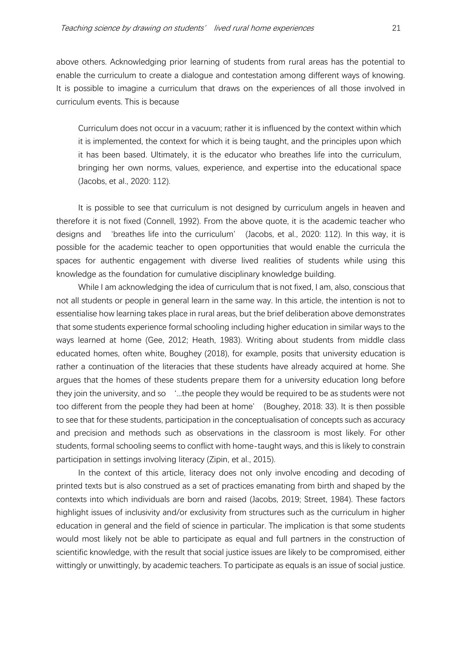above others. Acknowledging prior learning of students from rural areas has the potential to enable the curriculum to create a dialogue and contestation among different ways of knowing. It is possible to imagine a curriculum that draws on the experiences of all those involved in curriculum events. This is because

Curriculum does not occur in a vacuum; rather it is influenced by the context within which it is implemented, the context for which it is being taught, and the principles upon which it has been based. Ultimately, it is the educator who breathes life into the curriculum, bringing her own norms, values, experience, and expertise into the educational space (Jacobs, et al., 2020: 112).

It is possible to see that curriculum is not designed by curriculum angels in heaven and therefore it is not fixed (Connell, 1992). From the above quote, it is the academic teacher who designs and 'breathes life into the curriculum' (Jacobs, et al., 2020: 112). In this way, it is possible for the academic teacher to open opportunities that would enable the curricula the spaces for authentic engagement with diverse lived realities of students while using this knowledge as the foundation for cumulative disciplinary knowledge building.

While I am acknowledging the idea of curriculum that is not fixed, I am, also, conscious that not all students or people in general learn in the same way. In this article, the intention is not to essentialise how learning takes place in rural areas, but the brief deliberation above demonstrates that some students experience formal schooling including higher education in similar ways to the ways learned at home (Gee, 2012; Heath, 1983). Writing about students from middle class educated homes, often white, Boughey (2018), for example, posits that university education is rather a continuation of the literacies that these students have already acquired at home. She argues that the homes of these students prepare them for a university education long before they join the university, and so '...the people they would be required to be as students were not too different from the people they had been at home' (Boughey, 2018: 33). It is then possible to see that for these students, participation in the conceptualisation of concepts such as accuracy and precision and methods such as observations in the classroom is most likely. For other students, formal schooling seems to conflict with home-taught ways, and this is likely to constrain participation in settings involving literacy (Zipin, et al., 2015).

In the context of this article, literacy does not only involve encoding and decoding of printed texts but is also construed as a set of practices emanating from birth and shaped by the contexts into which individuals are born and raised (Jacobs, 2019; Street, 1984). These factors highlight issues of inclusivity and/or exclusivity from structures such as the curriculum in higher education in general and the field of science in particular. The implication is that some students would most likely not be able to participate as equal and full partners in the construction of scientific knowledge, with the result that social justice issues are likely to be compromised, either wittingly or unwittingly, by academic teachers. To participate as equals is an issue of social justice.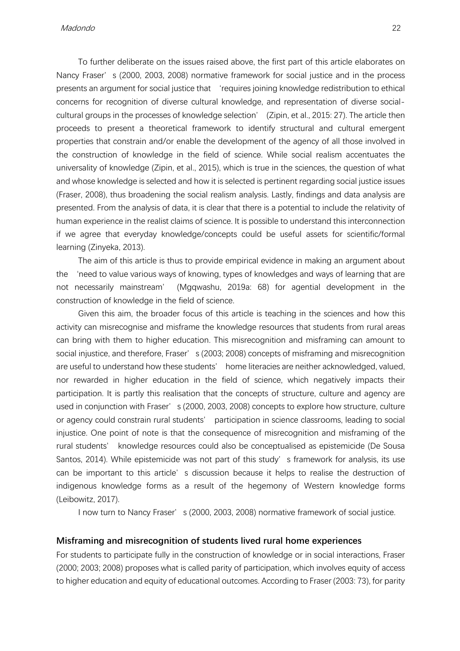To further deliberate on the issues raised above, the first part of this article elaborates on Nancy Fraser's (2000, 2003, 2008) normative framework for social justice and in the process presents an argument for social justice that 'requires joining knowledge redistribution to ethical concerns for recognition of diverse cultural knowledge, and representation of diverse socialcultural groups in the processes of knowledge selection' (Zipin, et al., 2015: 27). The article then proceeds to present a theoretical framework to identify structural and cultural emergent properties that constrain and/or enable the development of the agency of all those involved in the construction of knowledge in the field of science. While social realism accentuates the universality of knowledge (Zipin, et al., 2015), which is true in the sciences, the question of what and whose knowledge is selected and how it is selected is pertinent regarding social justice issues (Fraser, 2008), thus broadening the social realism analysis. Lastly, findings and data analysis are presented. From the analysis of data, it is clear that there is a potential to include the relativity of human experience in the realist claims of science. It is possible to understand this interconnection if we agree that everyday knowledge/concepts could be useful assets for scientific/formal learning (Zinyeka, 2013).

The aim of this article is thus to provide empirical evidence in making an argument about the 'need to value various ways of knowing, types of knowledges and ways of learning that are not necessarily mainstream' (Mgqwashu, 2019a: 68) for agential development in the construction of knowledge in the field of science.

Given this aim, the broader focus of this article is teaching in the sciences and how this activity can misrecognise and misframe the knowledge resources that students from rural areas can bring with them to higher education. This misrecognition and misframing can amount to social injustice, and therefore, Fraser's (2003; 2008) concepts of misframing and misrecognition are useful to understand how these students' home literacies are neither acknowledged, valued, nor rewarded in higher education in the field of science, which negatively impacts their participation. It is partly this realisation that the concepts of structure, culture and agency are used in conjunction with Fraser's (2000, 2003, 2008) concepts to explore how structure, culture or agency could constrain rural students' participation in science classrooms, leading to social injustice. One point of note is that the consequence of misrecognition and misframing of the rural students' knowledge resources could also be conceptualised as epistemicide (De Sousa Santos, 2014). While epistemicide was not part of this study's framework for analysis, its use can be important to this article's discussion because it helps to realise the destruction of indigenous knowledge forms as a result of the hegemony of Western knowledge forms (Leibowitz, 2017).

I now turn to Nancy Fraser's (2000, 2003, 2008) normative framework of social justice.

#### **Misframing and misrecognition of students lived rural home experiences**

For students to participate fully in the construction of knowledge or in social interactions, Fraser (2000; 2003; 2008) proposes what is called parity of participation, which involves equity of access to higher education and equity of educational outcomes. According to Fraser (2003: 73), for parity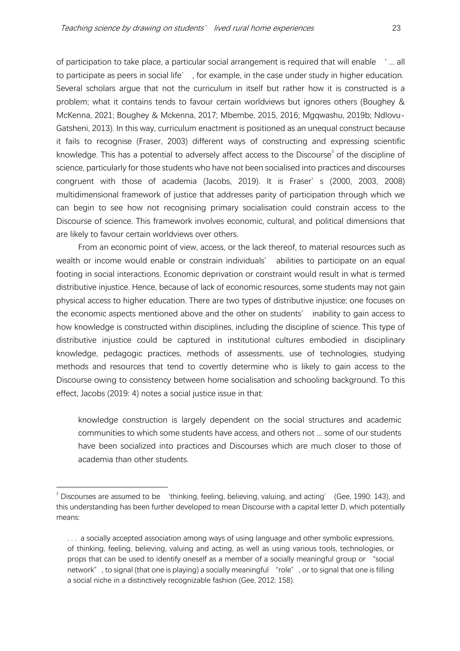of participation to take place, a particular social arrangement is required that will enable ' ... all to participate as peers in social life' , for example, in the case under study in higher education. Several scholars argue that not the curriculum in itself but rather how it is constructed is a problem; what it contains tends to favour certain worldviews but ignores others (Boughey & McKenna, 2021; Boughey & Mckenna, 2017; Mbembe, 2015, 2016; Mgqwashu, 2019b; Ndlovu-Gatsheni, 2013). In this way, curriculum enactment is positioned as an unequal construct because it fails to recognise (Fraser, 2003) different ways of constructing and expressing scientific knowledge. This has a potential to adversely affect access to the Discourse<sup>3</sup> of the discipline of science, particularly for those students who have not been socialised into practices and discourses congruent with those of academia (Jacobs, 2019). It is Fraser's (2000, 2003, 2008) multidimensional framework of justice that addresses parity of participation through which we can begin to see how not recognising primary socialisation could constrain access to the Discourse of science. This framework involves economic, cultural, and political dimensions that are likely to favour certain worldviews over others.

From an economic point of view, access, or the lack thereof, to material resources such as wealth or income would enable or constrain individuals' abilities to participate on an equal footing in social interactions. Economic deprivation or constraint would result in what is termed distributive injustice. Hence, because of lack of economic resources, some students may not gain physical access to higher education. There are two types of distributive injustice; one focuses on the economic aspects mentioned above and the other on students' inability to gain access to how knowledge is constructed within disciplines, including the discipline of science. This type of distributive injustice could be captured in institutional cultures embodied in disciplinary knowledge, pedagogic practices, methods of assessments, use of technologies, studying methods and resources that tend to covertly determine who is likely to gain access to the Discourse owing to consistency between home socialisation and schooling background. To this effect, Jacobs (2019: 4) notes a social justice issue in that:

knowledge construction is largely dependent on the social structures and academic communities to which some students have access, and others not ... some of our students have been socialized into practices and Discourses which are much closer to those of academia than other students.

 $3$  Discourses are assumed to be 'thinking, feeling, believing, valuing, and acting' (Gee, 1990: 143), and this understanding has been further developed to mean Discourse with a capital letter D, which potentially means:

<sup>. . .</sup> a socially accepted association among ways of using language and other symbolic expressions, of thinking, feeling, believing, valuing and acting, as well as using various tools, technologies, or props that can be used to identify oneself as a member of a socially meaningful group or "social network", to signal (that one is playing) a socially meaningful "role", or to signal that one is filling a social niche in a distinctively recognizable fashion (Gee, 2012: 158).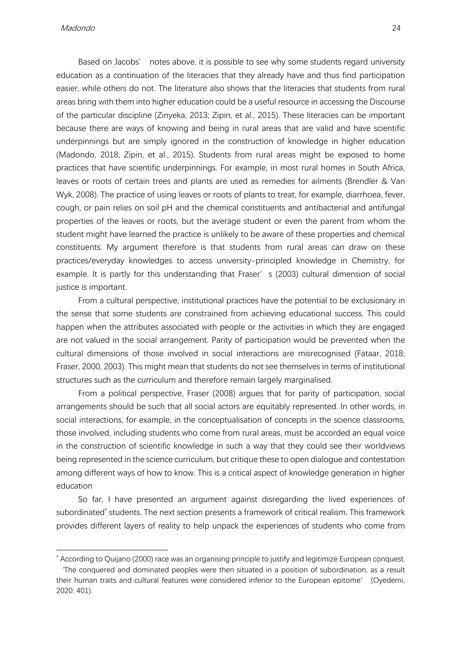Madondo 24

Based on Jacobs' notes above, it is possible to see why some students regard university education as a continuation of the literacies that they already have and thus find participation easier, while others do not. The literature also shows that the literacies that students from rural areas bring with them into higher education could be a useful resource in accessing the Discourse of the particular discipline (Zinyeka, 2013; Zipin, et al., 2015). These literacies can be important because there are ways of knowing and being in rural areas that are valid and have scientific underpinnings but are simply ignored in the construction of knowledge in higher education (Madondo, 2018; Zipin, et al., 2015). Students from rural areas might be exposed to home practices that have scientific underpinnings. For example, in most rural homes in South Africa, leaves or roots of certain trees and plants are used as remedies for ailments (Brendler & Van Wyk, 2008). The practice of using leaves or roots of plants to treat, for example, diarrhoea, fever, cough, or pain relies on soil pH and the chemical constituents and antibacterial and antifungal properties of the leaves or roots, but the average student or even the parent from whom the student might have learned the practice is unlikely to be aware of these properties and chemical constituents. My argument therefore is that students from rural areas can draw on these practices/everyday knowledges to access university-principled knowledge in Chemistry, for example. It is partly for this understanding that Fraser's (2003) cultural dimension of social justice is important.

From a cultural perspective, institutional practices have the potential to be exclusionary in the sense that some students are constrained from achieving educational success. This could happen when the attributes associated with people or the activities in which they are engaged are not valued in the social arrangement. Parity of participation would be prevented when the cultural dimensions of those involved in social interactions are misrecognised (Fataar, 2018; Fraser, 2000, 2003). This might mean that students do not see themselves in terms of institutional structures such as the curriculum and therefore remain largely marginalised.

From a political perspective, Fraser (2008) argues that for parity of participation, social arrangements should be such that all social actors are equitably represented. In other words, in social interactions, for example, in the conceptualisation of concepts in the science classrooms, those involved, including students who come from rural areas, must be accorded an equal voice in the construction of scientific knowledge in such a way that they could see their worldviews being represented in the science curriculum, but critique these to open dialogue and contestation among different ways of how to know. This is a critical aspect of knowledge generation in higher education

So far, I have presented an argument against disregarding the lived experiences of subordinated $^{\text{4}}$  students. The next section presents a framework of critical realism. This framework provides different layers of reality to help unpack the experiences of students who come from

<sup>4</sup> According to Quijano (2000) race was an organising principle to justify and legitimize European conquest.

<sup>&#</sup>x27;The conquered and dominated peoples were then situated in a position of subordination, as a result their human traits and cultural features were considered inferior to the European epitome' (Oyedemi, 2020: 401).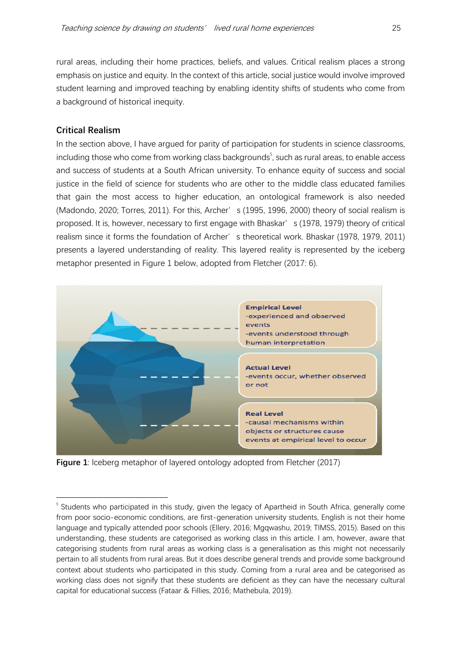rural areas, including their home practices, beliefs, and values. Critical realism places a strong emphasis on justice and equity. In the context of this article, social justice would involve improved student learning and improved teaching by enabling identity shifts of students who come from a background of historical inequity.

# **Critical Realism**

In the section above, I have argued for parity of participation for students in science classrooms, including those who come from working class backgrounds $^5$ , such as rural areas, to enable access and success of students at a South African university. To enhance equity of success and social justice in the field of science for students who are other to the middle class educated families that gain the most access to higher education, an ontological framework is also needed (Madondo, 2020; Torres, 2011). For this, Archer's (1995, 1996, 2000) theory of social realism is proposed. It is, however, necessary to first engage with Bhaskar's (1978, 1979) theory of critical realism since it forms the foundation of Archer' s theoretical work. Bhaskar (1978, 1979, 2011) presents a layered understanding of reality. This layered reality is represented by the iceberg metaphor presented in Figure 1 below, adopted from Fletcher (2017: 6).



**Figure 1**: Iceberg metaphor of layered ontology adopted from Fletcher (2017)

<sup>&</sup>lt;sup>5</sup> Students who participated in this study, given the legacy of Apartheid in South Africa, generally come from poor socio-economic conditions, are first-generation university students, English is not their home language and typically attended poor schools (Ellery, 2016; Mgqwashu, 2019; TIMSS, 2015). Based on this understanding, these students are categorised as working class in this article. I am, however, aware that categorising students from rural areas as working class is a generalisation as this might not necessarily pertain to all students from rural areas. But it does describe general trends and provide some background context about students who participated in this study. Coming from a rural area and be categorised as working class does not signify that these students are deficient as they can have the necessary cultural capital for educational success (Fataar & Fillies, 2016; Mathebula, 2019).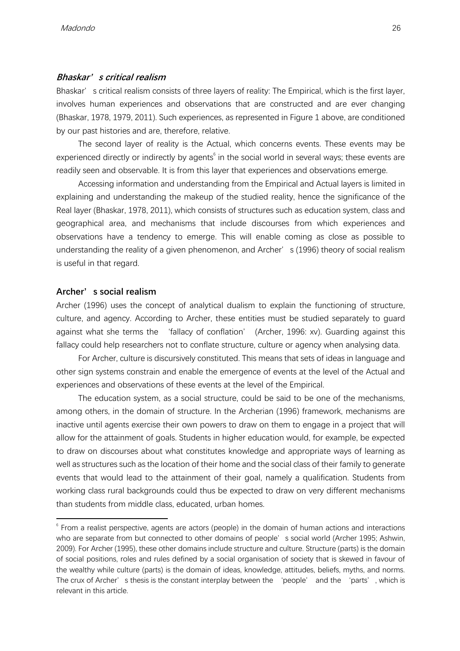### **Bhaskar's critical realism**

Bhaskar's critical realism consists of three layers of reality: The Empirical, which is the first layer, involves human experiences and observations that are constructed and are ever changing (Bhaskar, 1978, 1979, 2011). Such experiences, as represented in Figure 1 above, are conditioned by our past histories and are, therefore, relative.

The second layer of reality is the Actual, which concerns events. These events may be experienced directly or indirectly by agents $6$  in the social world in several ways; these events are readily seen and observable. It is from this layer that experiences and observations emerge.

Accessing information and understanding from the Empirical and Actual layers is limited in explaining and understanding the makeup of the studied reality, hence the significance of the Real layer (Bhaskar, 1978, 2011), which consists of structures such as education system, class and geographical area, and mechanisms that include discourses from which experiences and observations have a tendency to emerge. This will enable coming as close as possible to understanding the reality of a given phenomenon, and Archer's (1996) theory of social realism is useful in that regard.

### **Archer's social realism**

Archer (1996) uses the concept of analytical dualism to explain the functioning of structure, culture, and agency. According to Archer, these entities must be studied separately to guard against what she terms the 'fallacy of conflation' (Archer, 1996: xv). Guarding against this fallacy could help researchers not to conflate structure, culture or agency when analysing data.

For Archer, culture is discursively constituted. This means that sets of ideas in language and other sign systems constrain and enable the emergence of events at the level of the Actual and experiences and observations of these events at the level of the Empirical.

The education system, as a social structure, could be said to be one of the mechanisms, among others, in the domain of structure. In the Archerian (1996) framework, mechanisms are inactive until agents exercise their own powers to draw on them to engage in a project that will allow for the attainment of goals. Students in higher education would, for example, be expected to draw on discourses about what constitutes knowledge and appropriate ways of learning as well as structures such as the location of their home and the social class of their family to generate events that would lead to the attainment of their goal, namely a qualification. Students from working class rural backgrounds could thus be expected to draw on very different mechanisms than students from middle class, educated, urban homes.

<sup>&</sup>lt;sup>6</sup> From a realist perspective, agents are actors (people) in the domain of human actions and interactions who are separate from but connected to other domains of people's social world (Archer 1995; Ashwin, 2009). For Archer (1995), these other domains include structure and culture. Structure (parts) is the domain of social positions, roles and rules defined by a social organisation of society that is skewed in favour of the wealthy while culture (parts) is the domain of ideas, knowledge, attitudes, beliefs, myths, and norms. The crux of Archer's thesis is the constant interplay between the 'people' and the 'parts', which is relevant in this article.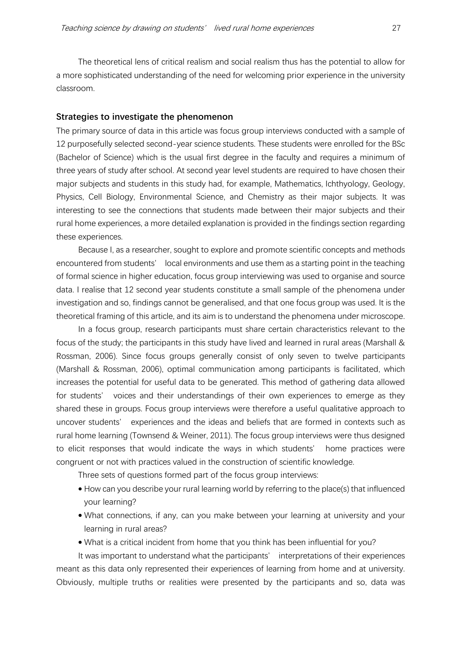The theoretical lens of critical realism and social realism thus has the potential to allow for a more sophisticated understanding of the need for welcoming prior experience in the university classroom.

#### **Strategies to investigate the phenomenon**

The primary source of data in this article was focus group interviews conducted with a sample of 12 purposefully selected second-year science students. These students were enrolled for the BSc (Bachelor of Science) which is the usual first degree in the faculty and requires a minimum of three years of study after school. At second year level students are required to have chosen their major subjects and students in this study had, for example, Mathematics, Ichthyology, Geology, Physics, Cell Biology, Environmental Science, and Chemistry as their major subjects. It was interesting to see the connections that students made between their major subjects and their rural home experiences, a more detailed explanation is provided in the findings section regarding these experiences.

Because I, as a researcher, sought to explore and promote scientific concepts and methods encountered from students' local environments and use them as a starting point in the teaching of formal science in higher education, focus group interviewing was used to organise and source data. I realise that 12 second year students constitute a small sample of the phenomena under investigation and so, findings cannot be generalised, and that one focus group was used. It is the theoretical framing of this article, and its aim is to understand the phenomena under microscope.

In a focus group, research participants must share certain characteristics relevant to the focus of the study; the participants in this study have lived and learned in rural areas (Marshall & Rossman, 2006). Since focus groups generally consist of only seven to twelve participants (Marshall & Rossman, 2006), optimal communication among participants is facilitated, which increases the potential for useful data to be generated. This method of gathering data allowed for students' voices and their understandings of their own experiences to emerge as they shared these in groups. Focus group interviews were therefore a useful qualitative approach to uncover students' experiences and the ideas and beliefs that are formed in contexts such as rural home learning (Townsend & Weiner, 2011). The focus group interviews were thus designed to elicit responses that would indicate the ways in which students' home practices were congruent or not with practices valued in the construction of scientific knowledge.

Three sets of questions formed part of the focus group interviews:

- How can you describe your rural learning world by referring to the place(s) that influenced your learning?
- What connections, if any, can you make between your learning at university and your learning in rural areas?
- What is a critical incident from home that you think has been influential for you?

It was important to understand what the participants' interpretations of their experiences meant as this data only represented their experiences of learning from home and at university. Obviously, multiple truths or realities were presented by the participants and so, data was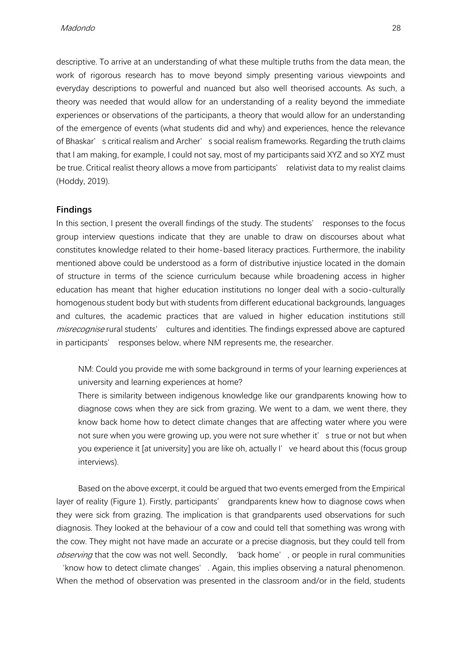descriptive. To arrive at an understanding of what these multiple truths from the data mean, the work of rigorous research has to move beyond simply presenting various viewpoints and everyday descriptions to powerful and nuanced but also well theorised accounts. As such, a theory was needed that would allow for an understanding of a reality beyond the immediate experiences or observations of the participants, a theory that would allow for an understanding of the emergence of events (what students did and why) and experiences, hence the relevance of Bhaskar's critical realism and Archer's social realism frameworks. Regarding the truth claims that I am making, for example, I could not say, most of my participants said XYZ and so XYZ must be true. Critical realist theory allows a move from participants' relativist data to my realist claims (Hoddy, 2019).

### **Findings**

In this section, I present the overall findings of the study. The students' responses to the focus group interview questions indicate that they are unable to draw on discourses about what constitutes knowledge related to their home-based literacy practices. Furthermore, the inability mentioned above could be understood as a form of distributive injustice located in the domain of structure in terms of the science curriculum because while broadening access in higher education has meant that higher education institutions no longer deal with a socio-culturally homogenous student body but with students from different educational backgrounds, languages and cultures, the academic practices that are valued in higher education institutions still misrecognise rural students' cultures and identities. The findings expressed above are captured in participants' responses below, where NM represents me, the researcher.

NM: Could you provide me with some background in terms of your learning experiences at university and learning experiences at home?

There is similarity between indigenous knowledge like our grandparents knowing how to diagnose cows when they are sick from grazing. We went to a dam, we went there, they know back home how to detect climate changes that are affecting water where you were not sure when you were growing up, you were not sure whether it' s true or not but when you experience it [at university] you are like oh, actually I've heard about this (focus group interviews).

Based on the above excerpt, it could be argued that two events emerged from the Empirical layer of reality (Figure 1). Firstly, participants' grandparents knew how to diagnose cows when they were sick from grazing. The implication is that grandparents used observations for such diagnosis. They looked at the behaviour of a cow and could tell that something was wrong with the cow. They might not have made an accurate or a precise diagnosis, but they could tell from observing that the cow was not well. Secondly, 'back home', or people in rural communities

'know how to detect climate changes'. Again, this implies observing a natural phenomenon. When the method of observation was presented in the classroom and/or in the field, students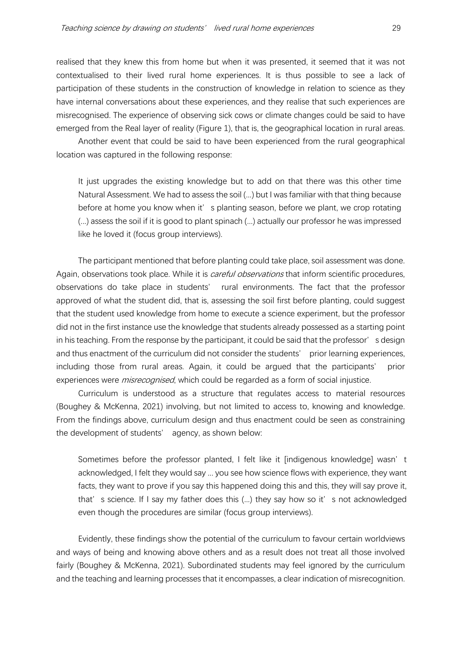realised that they knew this from home but when it was presented, it seemed that it was not contextualised to their lived rural home experiences. It is thus possible to see a lack of participation of these students in the construction of knowledge in relation to science as they have internal conversations about these experiences, and they realise that such experiences are misrecognised. The experience of observing sick cows or climate changes could be said to have emerged from the Real layer of reality (Figure 1), that is, the geographical location in rural areas.

Another event that could be said to have been experienced from the rural geographical location was captured in the following response:

It just upgrades the existing knowledge but to add on that there was this other time Natural Assessment. We had to assess the soil (...) but I was familiar with that thing because before at home you know when it's planting season, before we plant, we crop rotating (...) assess the soil if it is good to plant spinach (...) actually our professor he was impressed like he loved it (focus group interviews).

The participant mentioned that before planting could take place, soil assessment was done. Again, observations took place. While it is *careful observations* that inform scientific procedures, observations do take place in students' rural environments. The fact that the professor approved of what the student did, that is, assessing the soil first before planting, could suggest that the student used knowledge from home to execute a science experiment, but the professor did not in the first instance use the knowledge that students already possessed as a starting point in his teaching. From the response by the participant, it could be said that the professor's design and thus enactment of the curriculum did not consider the students' prior learning experiences, including those from rural areas. Again, it could be argued that the participants' prior experiences were *misrecognised*, which could be regarded as a form of social injustice.

Curriculum is understood as a structure that regulates access to material resources (Boughey & McKenna, 2021) involving, but not limited to access to, knowing and knowledge. From the findings above, curriculum design and thus enactment could be seen as constraining the development of students' agency, as shown below:

Sometimes before the professor planted, I felt like it [indigenous knowledge] wasn't acknowledged, I felt they would say ... you see how science flows with experience, they want facts, they want to prove if you say this happened doing this and this, they will say prove it, that's science. If I say my father does this (...) they say how so it's not acknowledged even though the procedures are similar (focus group interviews).

Evidently, these findings show the potential of the curriculum to favour certain worldviews and ways of being and knowing above others and as a result does not treat all those involved fairly (Boughey & McKenna, 2021). Subordinated students may feel ignored by the curriculum and the teaching and learning processes that it encompasses, a clear indication of misrecognition.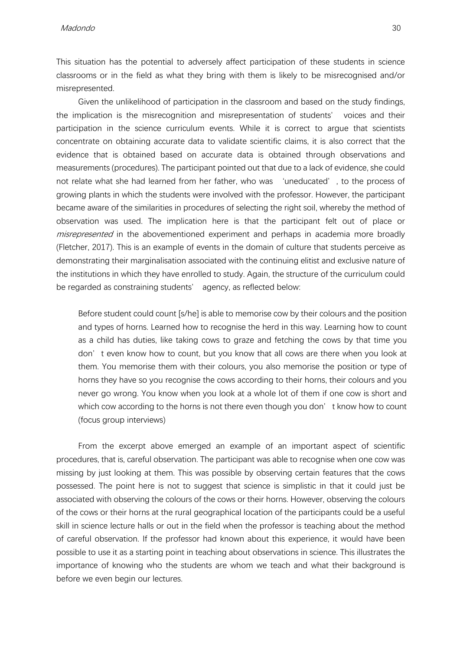Madondo 30

This situation has the potential to adversely affect participation of these students in science classrooms or in the field as what they bring with them is likely to be misrecognised and/or misrepresented.

Given the unlikelihood of participation in the classroom and based on the study findings, the implication is the misrecognition and misrepresentation of students' voices and their participation in the science curriculum events. While it is correct to argue that scientists concentrate on obtaining accurate data to validate scientific claims, it is also correct that the evidence that is obtained based on accurate data is obtained through observations and measurements (procedures). The participant pointed out that due to a lack of evidence, she could not relate what she had learned from her father, who was 'uneducated', to the process of growing plants in which the students were involved with the professor. However, the participant became aware of the similarities in procedures of selecting the right soil, whereby the method of observation was used. The implication here is that the participant felt out of place or *misrepresented* in the abovementioned experiment and perhaps in academia more broadly (Fletcher, 2017). This is an example of events in the domain of culture that students perceive as demonstrating their marginalisation associated with the continuing elitist and exclusive nature of the institutions in which they have enrolled to study. Again, the structure of the curriculum could be regarded as constraining students' agency, as reflected below:

Before student could count [s/he] is able to memorise cow by their colours and the position and types of horns. Learned how to recognise the herd in this way. Learning how to count as a child has duties, like taking cows to graze and fetching the cows by that time you don't even know how to count, but you know that all cows are there when you look at them. You memorise them with their colours, you also memorise the position or type of horns they have so you recognise the cows according to their horns, their colours and you never go wrong. You know when you look at a whole lot of them if one cow is short and which cow according to the horns is not there even though you don' t know how to count (focus group interviews)

From the excerpt above emerged an example of an important aspect of scientific procedures, that is, careful observation. The participant was able to recognise when one cow was missing by just looking at them. This was possible by observing certain features that the cows possessed. The point here is not to suggest that science is simplistic in that it could just be associated with observing the colours of the cows or their horns. However, observing the colours of the cows or their horns at the rural geographical location of the participants could be a useful skill in science lecture halls or out in the field when the professor is teaching about the method of careful observation. If the professor had known about this experience, it would have been possible to use it as a starting point in teaching about observations in science. This illustrates the importance of knowing who the students are whom we teach and what their background is before we even begin our lectures.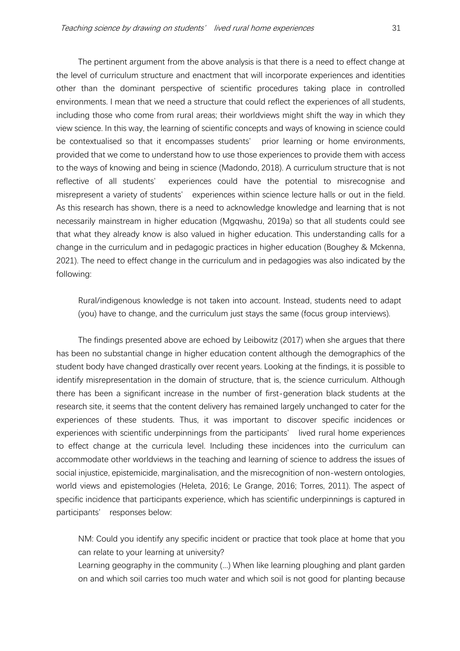The pertinent argument from the above analysis is that there is a need to effect change at the level of curriculum structure and enactment that will incorporate experiences and identities other than the dominant perspective of scientific procedures taking place in controlled environments. I mean that we need a structure that could reflect the experiences of all students, including those who come from rural areas; their worldviews might shift the way in which they view science. In this way, the learning of scientific concepts and ways of knowing in science could be contextualised so that it encompasses students' prior learning or home environments, provided that we come to understand how to use those experiences to provide them with access to the ways of knowing and being in science (Madondo, 2018). A curriculum structure that is not reflective of all students' experiences could have the potential to misrecognise and misrepresent a variety of students' experiences within science lecture halls or out in the field. As this research has shown, there is a need to acknowledge knowledge and learning that is not necessarily mainstream in higher education (Mgqwashu, 2019a) so that all students could see that what they already know is also valued in higher education. This understanding calls for a change in the curriculum and in pedagogic practices in higher education (Boughey & Mckenna, 2021). The need to effect change in the curriculum and in pedagogies was also indicated by the following:

Rural/indigenous knowledge is not taken into account. Instead, students need to adapt (you) have to change, and the curriculum just stays the same (focus group interviews).

The findings presented above are echoed by Leibowitz (2017) when she argues that there has been no substantial change in higher education content although the demographics of the student body have changed drastically over recent years. Looking at the findings, it is possible to identify misrepresentation in the domain of structure, that is, the science curriculum. Although there has been a significant increase in the number of first-generation black students at the research site, it seems that the content delivery has remained largely unchanged to cater for the experiences of these students. Thus, it was important to discover specific incidences or experiences with scientific underpinnings from the participants' lived rural home experiences to effect change at the curricula level. Including these incidences into the curriculum can accommodate other worldviews in the teaching and learning of science to address the issues of social injustice, epistemicide, marginalisation, and the misrecognition of non-western ontologies, world views and epistemologies (Heleta, 2016; Le Grange, 2016; Torres, 2011). The aspect of specific incidence that participants experience, which has scientific underpinnings is captured in participants' responses below:

NM: Could you identify any specific incident or practice that took place at home that you can relate to your learning at university?

Learning geography in the community (...) When like learning ploughing and plant garden on and which soil carries too much water and which soil is not good for planting because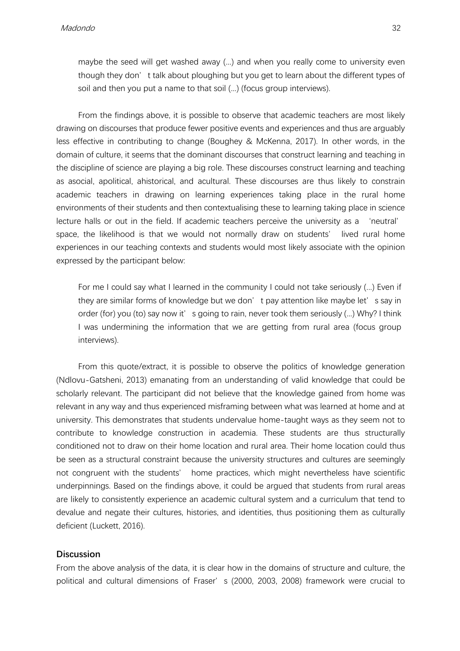maybe the seed will get washed away (...) and when you really come to university even though they don't talk about ploughing but you get to learn about the different types of soil and then you put a name to that soil (...) (focus group interviews).

From the findings above, it is possible to observe that academic teachers are most likely drawing on discourses that produce fewer positive events and experiences and thus are arguably less effective in contributing to change (Boughey & McKenna, 2017). In other words, in the domain of culture, it seems that the dominant discourses that construct learning and teaching in the discipline of science are playing a big role. These discourses construct learning and teaching as asocial, apolitical, ahistorical, and acultural. These discourses are thus likely to constrain academic teachers in drawing on learning experiences taking place in the rural home environments of their students and then contextualising these to learning taking place in science lecture halls or out in the field. If academic teachers perceive the university as a 'neutral' space, the likelihood is that we would not normally draw on students' lived rural home experiences in our teaching contexts and students would most likely associate with the opinion expressed by the participant below:

For me I could say what I learned in the community I could not take seriously (...) Even if they are similar forms of knowledge but we don't pay attention like maybe let's say in order (for) you (to) say now it' s going to rain, never took them seriously (...) Why? I think I was undermining the information that we are getting from rural area (focus group interviews).

From this quote/extract, it is possible to observe the politics of knowledge generation (Ndlovu-Gatsheni, 2013) emanating from an understanding of valid knowledge that could be scholarly relevant. The participant did not believe that the knowledge gained from home was relevant in any way and thus experienced misframing between what was learned at home and at university. This demonstrates that students undervalue home-taught ways as they seem not to contribute to knowledge construction in academia. These students are thus structurally conditioned not to draw on their home location and rural area. Their home location could thus be seen as a structural constraint because the university structures and cultures are seemingly not congruent with the students' home practices, which might nevertheless have scientific underpinnings. Based on the findings above, it could be argued that students from rural areas are likely to consistently experience an academic cultural system and a curriculum that tend to devalue and negate their cultures, histories, and identities, thus positioning them as culturally deficient (Luckett, 2016).

### **Discussion**

From the above analysis of the data, it is clear how in the domains of structure and culture, the political and cultural dimensions of Fraser's (2000, 2003, 2008) framework were crucial to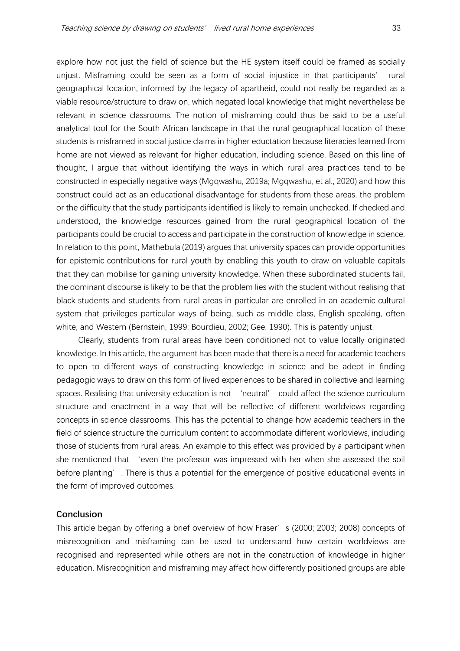explore how not just the field of science but the HE system itself could be framed as socially unjust. Misframing could be seen as a form of social injustice in that participants' rural geographical location, informed by the legacy of apartheid, could not really be regarded as a viable resource/structure to draw on, which negated local knowledge that might nevertheless be relevant in science classrooms. The notion of misframing could thus be said to be a useful analytical tool for the South African landscape in that the rural geographical location of these students is misframed in social justice claims in higher eductation because literacies learned from home are not viewed as relevant for higher education, including science. Based on this line of thought, I argue that without identifying the ways in which rural area practices tend to be constructed in especially negative ways (Mgqwashu, 2019a; Mgqwashu, et al., 2020) and how this construct could act as an educational disadvantage for students from these areas, the problem or the difficulty that the study participants identified is likely to remain unchecked. If checked and understood, the knowledge resources gained from the rural geographical location of the participants could be crucial to access and participate in the construction of knowledge in science. In relation to this point, Mathebula (2019) argues that university spaces can provide opportunities for epistemic contributions for rural youth by enabling this youth to draw on valuable capitals that they can mobilise for gaining university knowledge. When these subordinated students fail, the dominant discourse is likely to be that the problem lies with the student without realising that black students and students from rural areas in particular are enrolled in an academic cultural system that privileges particular ways of being, such as middle class, English speaking, often white, and Western (Bernstein, 1999; Bourdieu, 2002; Gee, 1990). This is patently unjust.

Clearly, students from rural areas have been conditioned not to value locally originated knowledge. In this article, the argument has been made that there is a need for academic teachers to open to different ways of constructing knowledge in science and be adept in finding pedagogic ways to draw on this form of lived experiences to be shared in collective and learning spaces. Realising that university education is not 'neutral' could affect the science curriculum structure and enactment in a way that will be reflective of different worldviews regarding concepts in science classrooms. This has the potential to change how academic teachers in the field of science structure the curriculum content to accommodate different worldviews, including those of students from rural areas. An example to this effect was provided by a participant when she mentioned that 'even the professor was impressed with her when she assessed the soil before planting'. There is thus a potential for the emergence of positive educational events in the form of improved outcomes.

#### **Conclusion**

This article began by offering a brief overview of how Fraser's (2000; 2003; 2008) concepts of misrecognition and misframing can be used to understand how certain worldviews are recognised and represented while others are not in the construction of knowledge in higher education. Misrecognition and misframing may affect how differently positioned groups are able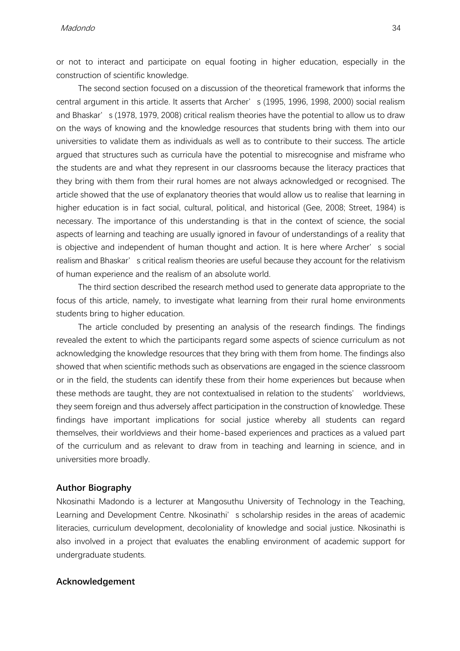Madondo 34

or not to interact and participate on equal footing in higher education, especially in the construction of scientific knowledge.

The second section focused on a discussion of the theoretical framework that informs the central argument in this article. It asserts that Archer's (1995, 1996, 1998, 2000) social realism and Bhaskar's (1978, 1979, 2008) critical realism theories have the potential to allow us to draw on the ways of knowing and the knowledge resources that students bring with them into our universities to validate them as individuals as well as to contribute to their success. The article argued that structures such as curricula have the potential to misrecognise and misframe who the students are and what they represent in our classrooms because the literacy practices that they bring with them from their rural homes are not always acknowledged or recognised. The article showed that the use of explanatory theories that would allow us to realise that learning in higher education is in fact social, cultural, political, and historical (Gee, 2008; Street, 1984) is necessary. The importance of this understanding is that in the context of science, the social aspects of learning and teaching are usually ignored in favour of understandings of a reality that is objective and independent of human thought and action. It is here where Archer's social realism and Bhaskar's critical realism theories are useful because they account for the relativism of human experience and the realism of an absolute world.

The third section described the research method used to generate data appropriate to the focus of this article, namely, to investigate what learning from their rural home environments students bring to higher education.

The article concluded by presenting an analysis of the research findings. The findings revealed the extent to which the participants regard some aspects of science curriculum as not acknowledging the knowledge resources that they bring with them from home. The findings also showed that when scientific methods such as observations are engaged in the science classroom or in the field, the students can identify these from their home experiences but because when these methods are taught, they are not contextualised in relation to the students' worldviews, they seem foreign and thus adversely affect participation in the construction of knowledge. These findings have important implications for social justice whereby all students can regard themselves, their worldviews and their home-based experiences and practices as a valued part of the curriculum and as relevant to draw from in teaching and learning in science, and in universities more broadly.

#### **Author Biography**

Nkosinathi Madondo is a lecturer at Mangosuthu University of Technology in the Teaching, Learning and Development Centre. Nkosinathi's scholarship resides in the areas of academic literacies, curriculum development, decoloniality of knowledge and social justice. Nkosinathi is also involved in a project that evaluates the enabling environment of academic support for undergraduate students.

#### **Acknowledgement**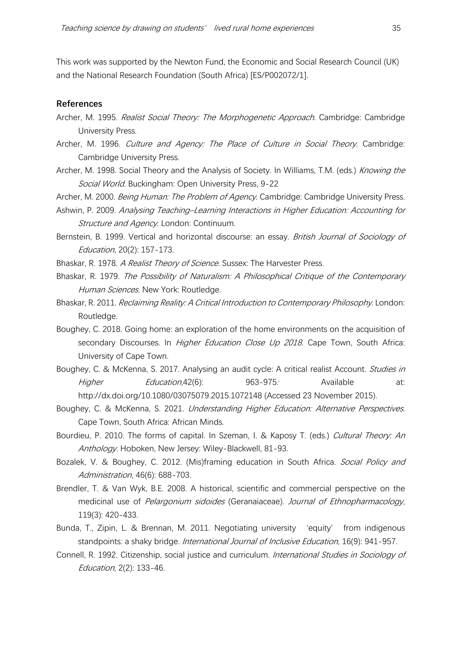This work was supported by the Newton Fund, the Economic and Social Research Council (UK) and the National Research Foundation (South Africa) [ES/P002072/1].

#### **References**

- Archer, M. 1995. Realist Social Theory: The Morphogenetic Approach. Cambridge: Cambridge University Press.
- Archer, M. 1996. Culture and Agency: The Place of Culture in Social Theory. Cambridge: Cambridge University Press.
- Archer, M. 1998. Social Theory and the Analysis of Society. In Williams, T.M. (eds.) Knowing the Social World. Buckingham: Open University Press, 9-22
- Archer, M. 2000. Being Human: The Problem of Agency. Cambridge: Cambridge University Press.
- Ashwin, P. 2009. Analysing Teaching–Learning Interactions in Higher Education: Accounting for Structure and Agency. London: Continuum.
- Bernstein, B. 1999. Vertical and horizontal discourse: an essay. British Journal of Sociology of Education, 20(2): 157-173.
- Bhaskar, R. 1978. A Realist Theory of Science. Sussex: The Harvester Press.
- Bhaskar, R. 1979. The Possibility of Naturalism: A Philosophical Critique of the Contemporary Human Sciences. New York: Routledge.
- Bhaskar, R. 2011. Reclaiming Reality: A Critical Introduction to Contemporary Philosophy. London: Routledge.
- Boughey, C. 2018. Going home: an exploration of the home environments on the acquisition of secondary Discourses. In *Higher Education Close Up 2018*. Cape Town, South Africa: University of Cape Town.
- Boughey, C. & McKenna, S. 2017. Analysing an audit cycle: A critical realist Account. Studies in Higher Education,42(6): 963-975. Available at: http://dx.doi.org/10.1080/03075079.2015.1072148 (Accessed 23 November 2015).
- Boughey, C. & McKenna, S. 2021. Understanding Higher Education: Alternative Perspectives. Cape Town, South Africa: African Minds.
- Bourdieu, P. 2010. The forms of capital. In Szeman, I. & Kaposy T. (eds.) *Cultural Theory: An* Anthology. Hoboken, New Jersey: Wiley-Blackwell, 81-93.
- Bozalek, V. & Boughey, C. 2012. (Mis)framing education in South Africa. Social Policy and Administration, 46(6): 688-703.
- Brendler, T. & Van Wyk, B.E. 2008. A historical, scientific and commercial perspective on the medicinal use of *Pelargonium sidoides* (Geranaiaceae). Journal of Ethnopharmacology, 119(3): 420-433.
- Bunda, T., Zipin, L. & Brennan, M. 2011. Negotiating university 'equity' from indigenous standpoints: a shaky bridge. *International Journal of Inclusive Education*, 16(9): 941-957.
- Connell, R. 1992. Citizenship, social justice and curriculum. *International Studies in Sociology of* Education, 2(2): 133-46.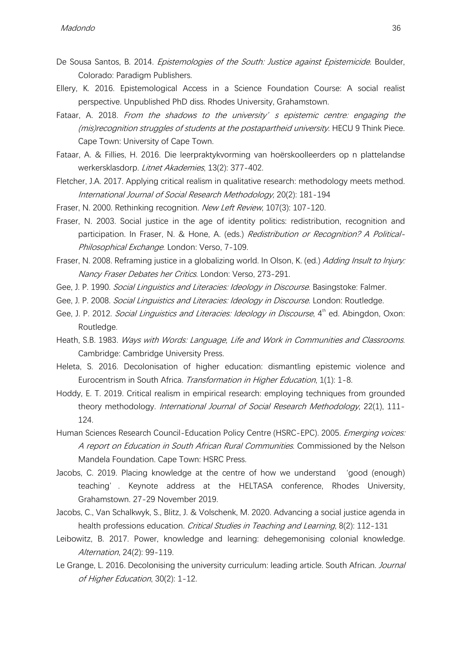- De Sousa Santos, B. 2014. *Epistemologies of the South: Justice against Epistemicide*. Boulder, Colorado: Paradigm Publishers.
- Ellery, K. 2016. Epistemological Access in a Science Foundation Course: A social realist perspective. Unpublished PhD diss. Rhodes University, Grahamstown.
- Fataar, A. 2018. From the shadows to the university' s epistemic centre: engaging the (mis)recognition struggles of students at the postapartheid university. HECU 9 Think Piece. Cape Town: University of Cape Town.
- Fataar, A. & Fillies, H. 2016. Die leerpraktykvorming van hoërskoolleerders op n plattelandse werkersklasdorp. Litnet Akademies, 13(2): 377-402.
- Fletcher, J.A. 2017. Applying critical realism in qualitative research: methodology meets method. International Journal of Social Research Methodology, 20(2): 181-194
- Fraser, N. 2000. Rethinking recognition. New Left Review, 107(3): 107-120.
- Fraser, N. 2003. Social justice in the age of identity politics: redistribution, recognition and participation. In Fraser, N. & Hone, A. (eds.) Redistribution or Recognition? A Political-Philosophical Exchange. London: Verso, 7-109.
- Fraser, N. 2008. Reframing justice in a globalizing world. In Olson, K. (ed.) Adding Insult to Injury: Nancy Fraser Debates her Critics. London: Verso, 273-291.
- Gee, J. P. 1990. Social Linguistics and Literacies: Ideology in Discourse. Basingstoke: Falmer.
- Gee, J. P. 2008. *Social Linguistics and Literacies: Ideology in Discourse*. London: Routledge.
- Gee, J. P. 2012. Social Linguistics and Literacies: Ideology in Discourse, 4<sup>th</sup> ed. Abingdon, Oxon: Routledge.
- Heath, S.B. 1983. Ways with Words: Language, Life and Work in Communities and Classrooms. Cambridge: Cambridge University Press.
- Heleta, S. 2016. Decolonisation of higher education: dismantling epistemic violence and Eurocentrism in South Africa. Transformation in Higher Education, 1(1): 1-8.
- Hoddy, E. T. 2019. Critical realism in empirical research: employing techniques from grounded theory methodology. International Journal of Social Research Methodology, 22(1), 111-124.
- Human Sciences Research Council-Education Policy Centre (HSRC-EPC). 2005. Emerging voices: A report on Education in South African Rural Communities. Commissioned by the Nelson Mandela Foundation. Cape Town: HSRC Press.
- Jacobs, C. 2019. Placing knowledge at the centre of how we understand 'good (enough) teaching'. Keynote address at the HELTASA conference, Rhodes University, Grahamstown. 27-29 November 2019.
- Jacobs, C., Van Schalkwyk, S., Blitz, J. & Volschenk, M. 2020. Advancing a social justice agenda in health professions education. *Critical Studies in Teaching and Learning*, 8(2): 112-131
- Leibowitz, B. 2017. Power, knowledge and learning: dehegemonising colonial knowledge. Alternation, 24(2): 99-119.
- Le Grange, L. 2016. Decolonising the university curriculum: leading article. South African. *Journal* of Higher Education, 30(2): 1-12.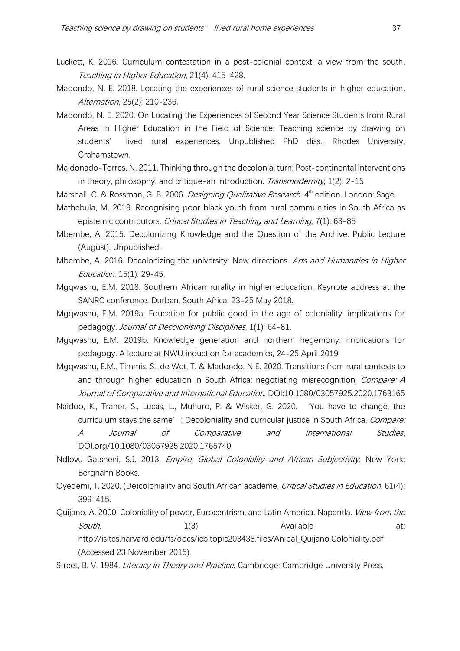- Luckett, K. 2016. Curriculum contestation in a post-colonial context: a view from the south. Teaching in Higher Education, 21(4): 415-428.
- Madondo, N. E. 2018. Locating the experiences of rural science students in higher education. Alternation, 25(2): 210-236.
- Madondo, N. E. 2020. On Locating the Experiences of Second Year Science Students from Rural Areas in Higher Education in the Field of Science: Teaching science by drawing on students' lived rural experiences. Unpublished PhD diss., Rhodes University, Grahamstown.
- Maldonado-Torres, N. 2011. Thinking through the decolonial turn: Post-continental interventions in theory, philosophy, and critique-an introduction. Transmodernity, 1(2): 2-15
- Marshall, C. & Rossman, G. B. 2006. *Designing Qualitative Research.* 4<sup>th</sup> edition. London: Sage.
- Mathebula, M. 2019. Recognising poor black youth from rural communities in South Africa as epistemic contributors. Critical Studies in Teaching and Learning, 7(1): 63-85
- Mbembe, A. 2015. Decolonizing Knowledge and the Question of the Archive: Public Lecture (August). Unpublished.
- Mbembe, A. 2016. Decolonizing the university: New directions. Arts and Humanities in Higher Education, 15(1): 29-45.
- Mgqwashu, E.M. 2018. Southern African rurality in higher education. Keynote address at the SANRC conference, Durban, South Africa. 23-25 May 2018.
- Mgqwashu, E.M. 2019a. Education for public good in the age of coloniality: implications for pedagogy. Journal of Decolonising Disciplines, 1(1): 64-81.
- Mgqwashu, E.M. 2019b. Knowledge generation and northern hegemony: implications for pedagogy. A lecture at NWU induction for academics, 24-25 April 2019
- Mgqwashu, E.M., Timmis, S., de Wet, T. & Madondo, N.E. 2020. Transitions from rural contexts to and through higher education in South Africa: negotiating misrecognition, *Compare: A* Journal of Comparative and International Education. DOI:10.1080/03057925.2020.1763165
- Naidoo, K., Traher, S., Lucas, L., Muhuro, P. & Wisker, G. 2020. 'You have to change, the curriculum stays the same': Decoloniality and curricular justice in South Africa. Compare: A Journal of Comparative and International Studies, DOI.org/10.1080/03057925.2020.1765740
- Ndlovu-Gatsheni, S.J. 2013. *Empire, Global Coloniality and African Subjectivity*. New York: Berghahn Books.
- Oyedemi, T. 2020. (De)coloniality and South African academe. Critical Studies in Education, 61(4): 399-415.
- Quijano, A. 2000. Coloniality of power, Eurocentrism, and Latin America. Napantla. *View from the* South. 1(3) 1(3) Available at: http://isites.harvard.edu/fs/docs/icb.topic203438.files/Anibal\_Quijano.Coloniality.pdf (Accessed 23 November 2015).
- Street, B. V. 1984. *Literacy in Theory and Practice*. Cambridge: Cambridge University Press.